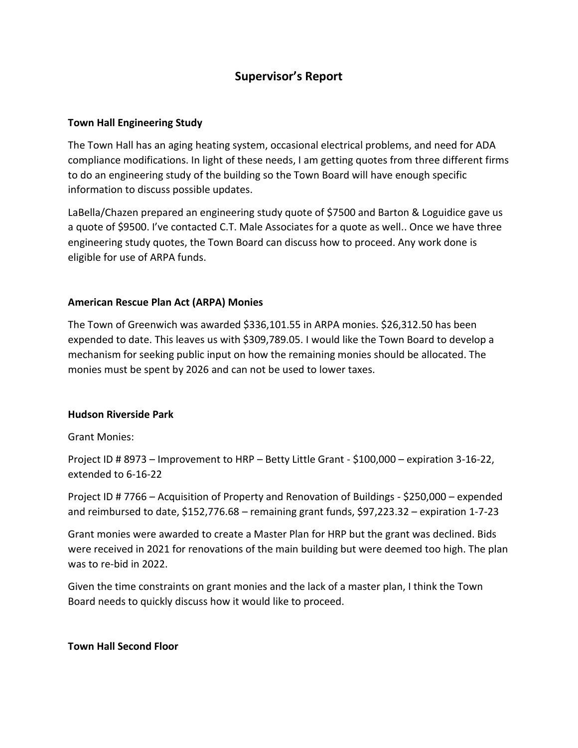# **Supervisor's Report**

# **Town Hall Engineering Study**

The Town Hall has an aging heating system, occasional electrical problems, and need for ADA compliance modifications. In light of these needs, I am getting quotes from three different firms to do an engineering study of the building so the Town Board will have enough specific information to discuss possible updates.

LaBella/Chazen prepared an engineering study quote of \$7500 and Barton & Loguidice gave us a quote of \$9500. I've contacted C.T. Male Associates for a quote as well.. Once we have three engineering study quotes, the Town Board can discuss how to proceed. Any work done is eligible for use of ARPA funds.

### **American Rescue Plan Act (ARPA) Monies**

The Town of Greenwich was awarded \$336,101.55 in ARPA monies. \$26,312.50 has been expended to date. This leaves us with \$309,789.05. I would like the Town Board to develop a mechanism for seeking public input on how the remaining monies should be allocated. The monies must be spent by 2026 and can not be used to lower taxes.

### **Hudson Riverside Park**

Grant Monies:

Project ID # 8973 – Improvement to HRP – Betty Little Grant - \$100,000 – expiration 3-16-22, extended to 6-16-22

Project ID # 7766 – Acquisition of Property and Renovation of Buildings - \$250,000 – expended and reimbursed to date, \$152,776.68 – remaining grant funds, \$97,223.32 – expiration 1-7-23

Grant monies were awarded to create a Master Plan for HRP but the grant was declined. Bids were received in 2021 for renovations of the main building but were deemed too high. The plan was to re-bid in 2022.

Given the time constraints on grant monies and the lack of a master plan, I think the Town Board needs to quickly discuss how it would like to proceed.

### **Town Hall Second Floor**